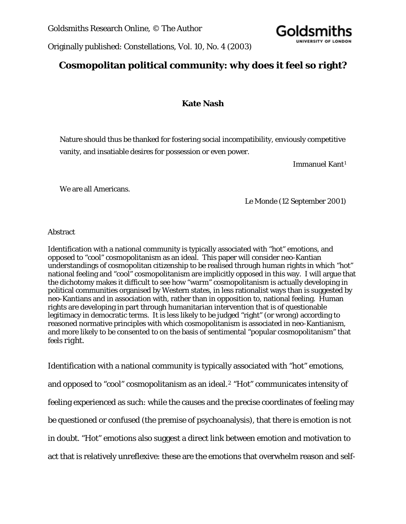

# **Cosmopolitan political community: why does it feel so right?**

# **Kate Nash**

Nature should thus be thanked for fostering social incompatibility, enviously competitive vanity, and insatiable desires for possession or even power.

Immanuel Kant[1](#page-17-0)

We are all Americans.

*Le Monde* (12 September 2001)

Abstract

Identification with a national community is typically associated with "hot" emotions, and opposed to "cool" cosmopolitanism as an ideal. This paper will consider neo-Kantian understandings of cosmopolitan citizenship to be realised through human rights in which "hot" national feeling and "cool" cosmopolitanism are implicitly opposed in this way. I will argue that the dichotomy makes it difficult to see how "warm" cosmopolitanism is actually developing in political communities organised by Western states, in less rationalist ways than is suggested by neo-Kantians and in association with, rather than in opposition to, national feeling. Human rights are developing in part through humanitarian intervention that is of questionable legitimacy in democratic terms. It is less likely to be judged "right" (or wrong) according to reasoned normative principles with which cosmopolitanism is associated in neo-Kantianism, and more likely to be consented to on the basis of sentimental "popular cosmopolitanism" that *feels right*.

Identification with a national community is typically associated with "hot" emotions, and opposed to "cool" cosmopolitanism as an ideal.[2](#page-17-1) "Hot" communicates intensity of feeling experienced as such: while the causes and the precise coordinates of feeling may be questioned or confused (the premise of psychoanalysis), that there is emotion is not in doubt. "Hot" emotions also suggest a direct link between emotion and motivation to act that is relatively unreflexive: these are the emotions that overwhelm reason and self-

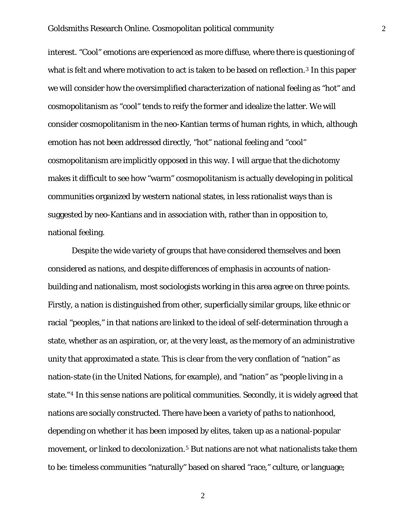interest. "Cool" emotions are experienced as more diffuse, where there is questioning of what is felt and where motivation to act is taken to be based on reflection.<sup>[3](#page-17-1)</sup> In this paper we will consider how the oversimplified characterization of national feeling as "hot" and cosmopolitanism as "cool" tends to reify the former and idealize the latter. We will consider cosmopolitanism in the neo-Kantian terms of human rights, in which, although emotion has not been addressed directly, "hot" national feeling and "cool" cosmopolitanism are implicitly opposed in this way. I will argue that the dichotomy makes it difficult to see how "warm" cosmopolitanism is actually developing in political communities organized by western national states, in less rationalist ways than is suggested by neo-Kantians and in association with, rather than in opposition to, national feeling.

Despite the wide variety of groups that have considered themselves and been considered as nations, and despite differences of emphasis in accounts of nationbuilding and nationalism, most sociologists working in this area agree on three points. Firstly, a nation is distinguished from other, superficially similar groups, like ethnic or racial "peoples," in that nations are linked to the ideal of self-determination through a state, whether as an aspiration, or, at the very least, as the memory of an administrative unity that approximated a state. This is clear from the very conflation of "nation" as nation-state (in the United Nations, for example), and "nation" as "people living in a state."[4](#page-17-1) In this sense nations are political communities. Secondly, it is widely agreed that nations are socially constructed. There have been a variety of paths to nationhood, depending on whether it has been imposed by elites, taken up as a national-popular movement, or linked to decolonization.<sup>[5](#page-17-1)</sup> But nations are not what nationalists take them to be: timeless communities "naturally" based on shared "race," culture, or language;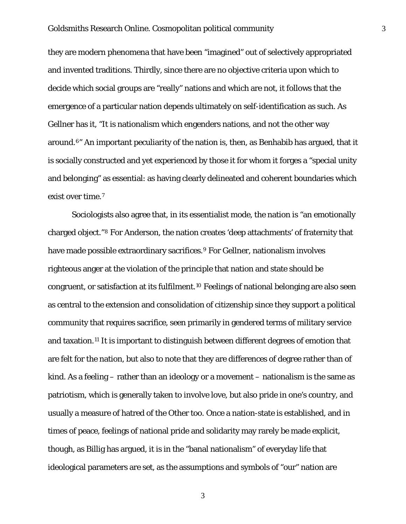they are modern phenomena that have been "imagined" out of selectively appropriated and invented traditions. Thirdly, since there are no objective criteria upon which to decide which social groups are "really" nations and which are not, it follows that the emergence of a particular nation depends ultimately on self-identification as such. As Gellner has it, "It is nationalism which engenders nations, and not the other way around.[6](#page-17-1)" An important peculiarity of the nation is, then, as Benhabib has argued, that it is socially constructed and yet experienced by those it for whom it forges a "special unity and belonging" as essential: as having clearly delineated and coherent boundaries which exist over time.[7](#page-18-0)

Sociologists also agree that, in its essentialist mode, the nation is "an emotionally charged object."[8](#page-18-0) For Anderson, the nation creates 'deep attachments' of fraternity that have made possible extraordinary sacrifices.<sup>[9](#page-18-0)</sup> For Gellner, nationalism involves righteous anger at the violation of the principle that nation and state should be congruent, or satisfaction at its fulfilment.[10](#page-18-0) Feelings of national belonging are also seen as central to the extension and consolidation of citizenship since they support a political community that requires sacrifice, seen primarily in gendered terms of military service and taxation.[11](#page-18-0) It is important to distinguish between different degrees of emotion that are felt for the nation, but also to note that they are differences of degree rather than of kind. As a feeling – rather than an ideology or a movement – nationalism is the same as patriotism, which is generally taken to involve love, but also pride in one's country, and usually a measure of hatred of the Other too. Once a nation-state is established, and in times of peace, feelings of national pride and solidarity may rarely be made explicit, though, as Billig has argued, it is in the "banal nationalism" of everyday life that ideological parameters are set, as the assumptions and symbols of "our" nation are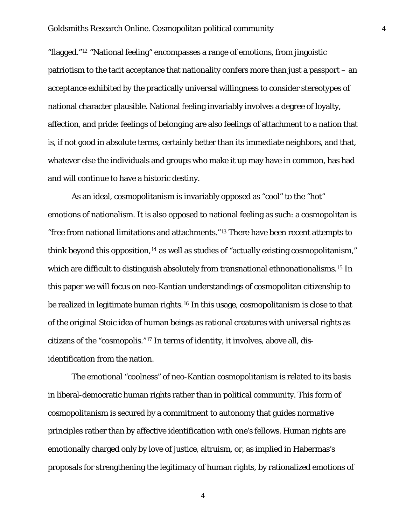"flagged."[12](#page-18-0) "National feeling" encompasses a range of emotions, from jingoistic patriotism to the tacit acceptance that nationality confers more than just a passport – an acceptance exhibited by the practically universal willingness to consider stereotypes of national character plausible. National feeling invariably involves a degree of loyalty, affection, and pride: feelings of belonging are also feelings of attachment to a nation that is, if not good in absolute terms, certainly better than its immediate neighbors, and that, whatever else the individuals and groups who make it up may have in common, has had and will continue to have a historic destiny.

As an ideal, cosmopolitanism is invariably opposed as "cool" to the "hot" emotions of nationalism. It is also opposed to national feeling as such: a cosmopolitan is "free from national limitations and attachments."[13](#page-18-0) There have been recent attempts to think beyond this opposition,<sup>[14](#page-18-0)</sup> as well as studies of "actually existing cosmopolitanism," which are difficult to distinguish absolutely from transnational ethnonationalisms.<sup>[15](#page-18-0)</sup> In this paper we will focus on neo-Kantian understandings of cosmopolitan citizenship to be realized in legitimate human rights.<sup>[16](#page-18-0)</sup> In this usage, cosmopolitanism is close to that of the original Stoic idea of human beings as rational creatures with universal rights as citizens of the "cosmopolis."[17](#page-18-0) In terms of identity, it involves, above all, disidentification from the nation.

The emotional "coolness" of neo-Kantian cosmopolitanism is related to its basis in liberal-democratic human rights rather than in political community. This form of cosmopolitanism is secured by a commitment to autonomy that guides normative principles rather than by affective identification with one's fellows. Human rights are emotionally charged only by love of justice, altruism, or, as implied in Habermas's proposals for strengthening the legitimacy of human rights, by rationalized emotions of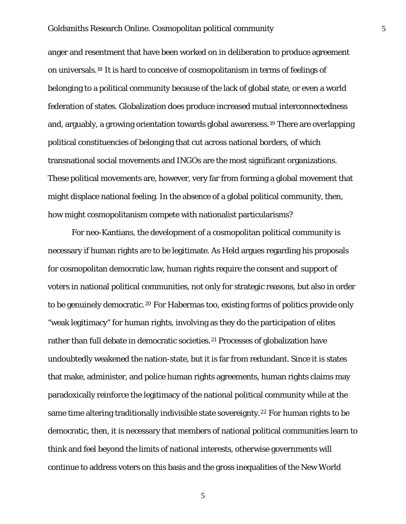anger and resentment that have been worked on in deliberation to produce agreement on universals.[18](#page-18-0) It is hard to conceive of cosmopolitanism in terms of feelings of belonging to a political community because of the lack of global state, or even a world federation of states. Globalization does produce increased mutual interconnectedness and, arguably, a growing orientation towards global awareness.[19](#page-18-0) There are overlapping political constituencies of belonging that cut across national borders, of which transnational social movements and INGOs are the most significant organizations. These political movements are, however, very far from forming a global movement that might displace national feeling. In the absence of a global political community, then, how might cosmopolitanism compete with nationalist particularisms?

For neo-Kantians, the development of a cosmopolitan political community is necessary if human rights are to be legitimate. As Held argues regarding his proposals for cosmopolitan democratic law, human rights require the consent and support of voters in national political communities, not only for strategic reasons, but also in order to be genuinely democratic.[20](#page-18-0) For Habermas too, existing forms of politics provide only "weak legitimacy" for human rights, involving as they do the participation of elites rather than full debate in democratic societies.<sup>[21](#page-18-0)</sup> Processes of globalization have undoubtedly weakened the nation-state, but it is far from redundant. Since it is states that make, administer, and police human rights agreements, human rights claims may paradoxically reinforce the legitimacy of the national political community while at the same time altering traditionally indivisible state sovereignty.<sup>[22](#page-18-0)</sup> For human rights to be democratic, then, it is necessary that members of national political communities learn to think and feel beyond the limits of national interests, otherwise governments will continue to address voters on this basis and the gross inequalities of the New World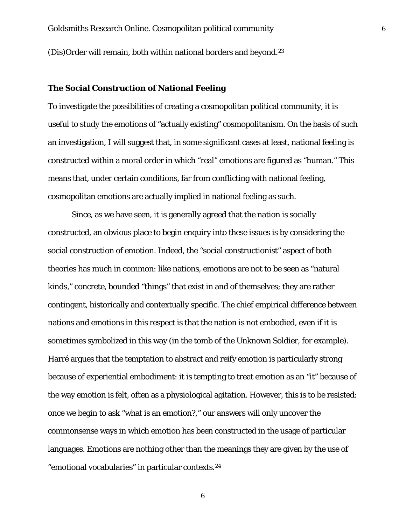(Dis)Order will remain, both within national borders and beyond.[23](#page-18-0)

## **The Social Construction of National Feeling**

To investigate the possibilities of creating a cosmopolitan political community, it is useful to study the emotions of "actually existing" cosmopolitanism. On the basis of such an investigation, I will suggest that, in some significant cases at least, national feeling is constructed within a moral order in which "real" emotions are figured as "human." This means that, under certain conditions, far from conflicting with national feeling, cosmopolitan emotions are actually implied in national feeling as such.

Since, as we have seen, it is generally agreed that the nation is socially constructed, an obvious place to begin enquiry into these issues is by considering the social construction of emotion. Indeed, the "social constructionist" aspect of both theories has much in common: like nations, emotions are not to be seen as "natural kinds," concrete, bounded "things" that exist in and of themselves; they are rather contingent, historically and contextually specific. The chief empirical difference between nations and emotions in this respect is that the nation is not embodied, even if it is sometimes symbolized in this way (in the tomb of the Unknown Soldier, for example). Harré argues that the temptation to abstract and reify emotion is particularly strong because of experiential embodiment: it is tempting to treat emotion as an "it" because of the way emotion is felt, often as a physiological agitation. However, this is to be resisted: once we begin to ask "what is an emotion?," our answers will only uncover the commonsense ways in which emotion has been constructed in the usage of particular languages. Emotions are nothing other than the meanings they are given by the use of "emotional vocabularies" in particular contexts.[24](#page-18-0)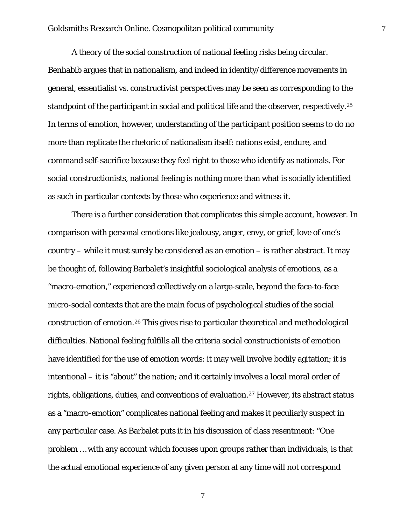A theory of the social construction of national feeling risks being circular. Benhabib argues that in nationalism, and indeed in identity/difference movements in general, essentialist vs. constructivist perspectives may be seen as corresponding to the standpoint of the participant in social and political life and the observer, respectively.<sup>[25](#page-18-0)</sup> In terms of emotion, however, understanding of the participant position seems to do no more than replicate the rhetoric of nationalism itself: nations exist, endure, and command self-sacrifice because they feel right to those who identify as nationals. For social constructionists, national feeling is nothing more than what is socially identified as such in particular contexts by those who experience and witness it.

There is a further consideration that complicates this simple account, however. In comparison with personal emotions like jealousy, anger, envy, or grief, love of one's country – while it must surely be considered as an emotion – is rather abstract. It may be thought of, following Barbalet's insightful sociological analysis of emotions, as a "macro-emotion," experienced collectively on a large-scale, beyond the face-to-face micro-social contexts that are the main focus of psychological studies of the social construction of emotion.[26](#page-18-0) This gives rise to particular theoretical and methodological difficulties. National feeling fulfills all the criteria social constructionists of emotion have identified for the use of emotion words: it may well involve bodily agitation; it is intentional – it is "about" the nation; and it certainly involves a local moral order of rights, obligations, duties, and conventions of evaluation.[27](#page-18-0) However, its abstract status as a "macro-emotion" complicates national feeling and makes it peculiarly suspect in any particular case. As Barbalet puts it in his discussion of class resentment: "One problem … with any account which focuses upon groups rather than individuals, is that the actual emotional experience of any given person at any time will not correspond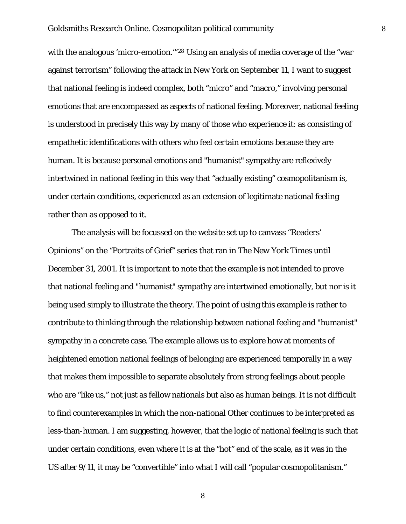with the analogous 'micro-emotion."<sup>[28](#page-18-0)</sup> Using an analysis of media coverage of the "war against terrorism" following the attack in New York on September 11, I want to suggest that national feeling is indeed complex, both "micro" and "macro," involving personal emotions that are encompassed as aspects of national feeling. Moreover, national feeling is understood in precisely this way by many of those who experience it: as consisting of empathetic identifications with others who feel certain emotions because they are human. It is because personal emotions and "humanist" sympathy are reflexively intertwined in national feeling in this way that "actually existing" cosmopolitanism is, under certain conditions, experienced as an extension of legitimate national feeling rather than as opposed to it.

The analysis will be focussed on the website set up to canvass "Readers' Opinions" on the "Portraits of Grief" series that ran in *The New York Times* until December 31, 2001. It is important to note that the example is not intended to *prove* that national feeling and "humanist" sympathy are intertwined emotionally, but nor is it being used simply to *illustrate* the theory. The point of using this example is rather to contribute to thinking through the relationship between national feeling and "humanist" sympathy in a concrete case. The example allows us to explore how at moments of heightened emotion national feelings of belonging are experienced temporally in a way that makes them impossible to separate absolutely from strong feelings about people who are "like us," not just as fellow nationals but also as human beings. It is not difficult to find counterexamples in which the non-national Other continues to be interpreted as less-than-human. I am suggesting, however, that the logic of national feeling is such that under certain conditions, even where it is at the "hot" end of the scale, as it was in the US after 9/11, it may be "convertible" into what I will call "popular cosmopolitanism."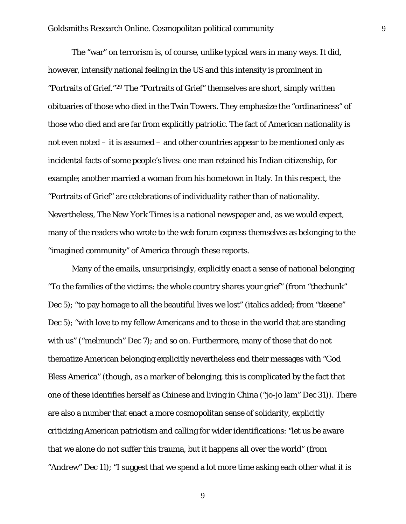The "war" on terrorism is, of course, unlike typical wars in many ways. It did, however, intensify national feeling in the US and this intensity is prominent in "Portraits of Grief."[29](#page-18-0) The "Portraits of Grief" themselves are short, simply written obituaries of those who died in the Twin Towers. They emphasize the "ordinariness" of those who died and are far from explicitly patriotic. The fact of American nationality is not even noted – it is assumed – and other countries appear to be mentioned only as incidental facts of some people's lives: one man retained his Indian citizenship, for example; another married a woman from his hometown in Italy. In this respect, the "Portraits of Grief" are celebrations of individuality rather than of nationality. Nevertheless, *The New York Times* is a national newspaper and, as we would expect, many of the readers who wrote to the web forum express themselves as belonging to the "imagined community" of America through these reports.

Many of the emails, unsurprisingly, explicitly enact a sense of national belonging "To the families of the victims: the whole country shares your grief" (from "thechunk" Dec 5); "to pay homage to all the beautiful lives *we* lost" (italics added; from "tkeene" Dec 5); "with love to my fellow Americans and to those in the world that are standing with us" ("melmunch" Dec 7); and so on. Furthermore, many of those that do not thematize American belonging explicitly nevertheless end their messages with "God Bless America" (though, as a marker of belonging, this is complicated by the fact that one of these identifies herself as Chinese and living in China ("jo-jo lam" Dec 31)). There are also a number that enact a more cosmopolitan sense of solidarity, explicitly criticizing American patriotism and calling for wider identifications: "let us be aware that we alone do not suffer this trauma, but it happens all over the world" (from "Andrew" Dec 11); "I suggest that we spend a lot more time asking each other what it is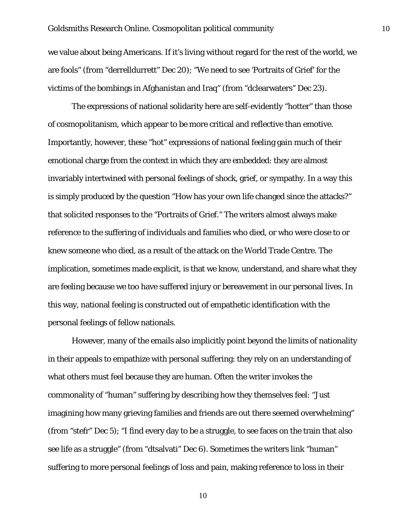we value about being Americans. If it's living without regard for the rest of the world, we are fools" (from "derrelldurrett" Dec 20); "We need to see 'Portraits of Grief' for the victims of the bombings in Afghanistan and Iraq" (from "dclearwaters" Dec 23).

The expressions of national solidarity here are self-evidently "hotter" than those of cosmopolitanism, which appear to be more critical and reflective than emotive. Importantly, however, these "hot" expressions of national feeling gain much of their emotional charge from the context in which they are embedded: they are almost invariably intertwined with personal feelings of shock, grief, or sympathy. In a way this is simply produced by the question "How has your own life changed since the attacks?" that solicited responses to the "Portraits of Grief." The writers almost always make reference to the suffering of individuals and families who died, or who were close to or knew someone who died, as a result of the attack on the World Trade Centre. The implication, sometimes made explicit, is that we know, understand, and share what they are feeling because we too have suffered injury or bereavement in our personal lives. In this way, national feeling is constructed out of empathetic identification with the personal feelings of fellow nationals.

However, many of the emails also implicitly point beyond the limits of nationality in their appeals to empathize with personal suffering: they rely on an understanding of what others must feel because they are human. Often the writer invokes the commonality of "human" suffering by describing how they themselves feel: "Just imagining how many grieving families and friends are out there seemed overwhelming" (from "stefr" Dec 5); "I find every day to be a struggle, to see faces on the train that also see life as a struggle" (from "dtsalvati" Dec 6). Sometimes the writers link "human" suffering to more personal feelings of loss and pain, making reference to loss in their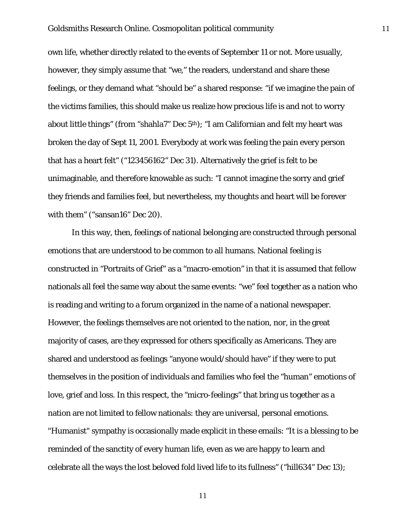own life, whether directly related to the events of September 11 or not. More usually, however, they simply assume that "we," the readers, understand and share these feelings, or they demand what "should be" a shared response: "if we imagine the pain of the victims families, this should make us realize how precious life is and not to worry about little things" (from "shahla7" Dec 5th); "I am Californian and felt my heart was broken the day of Sept 11, 2001. Everybody at work was feeling the pain every person that has a heart felt" ("123456162" Dec 31). Alternatively the grief is felt to be unimaginable, and therefore knowable as such: "I cannot imagine the sorry and grief they friends and families feel, but nevertheless, my thoughts and heart will be forever with them" ("sansan16" Dec 20).

In this way, then, feelings of national belonging are constructed through personal emotions that are understood to be common to all humans. National feeling is constructed in "Portraits of Grief" as a "macro-emotion" in that it is assumed that fellow nationals all feel the same way about the same events: "we" feel together as a nation who is reading and writing to a forum organized in the name of a national newspaper. However, the feelings themselves are not oriented to the nation, nor, in the great majority of cases, are they expressed for others specifically as Americans. They are shared and understood as feelings "anyone would/should have" if they were to put themselves in the position of individuals and families who feel the "human" emotions of love, grief and loss. In this respect, the "micro-feelings" that bring us together as a nation are not limited to fellow nationals: they are universal, personal emotions. "Humanist" sympathy is occasionally made explicit in these emails: "It is a blessing to be reminded of the sanctity of every human life, even as we are happy to learn and celebrate all the ways the lost beloved fold lived life to its fullness" ("hill634" Dec 13);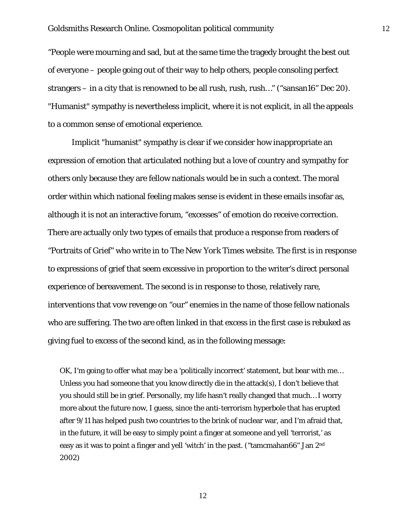"People were mourning and sad, but at the same time the tragedy brought the best out of everyone – people going out of their way to help others, people consoling perfect strangers – in a city that is renowned to be all rush, rush, rush…" ("sansan16" Dec 20). "Humanist" sympathy is nevertheless implicit, where it is not explicit, in all the appeals to a common sense of emotional experience.

Implicit "humanist" sympathy is clear if we consider how inappropriate an expression of emotion that articulated *nothing but* a love of country and sympathy for others only because they are fellow nationals would be in such a context. The moral order within which national feeling makes sense is evident in these emails insofar as, although it is not an interactive forum, "excesses" of emotion do receive correction. There are actually only two types of emails that produce a response from readers of "Portraits of Grief" who write in to *The New York Times* website. The first is in response to expressions of grief that seem excessive in proportion to the writer's direct personal experience of bereavement. The second is in response to those, relatively rare, interventions that vow revenge on "our" enemies in the name of those fellow nationals who are suffering. The two are often linked in that excess in the first case is rebuked as giving fuel to excess of the second kind, as in the following message:

OK, I'm going to offer what may be a 'politically incorrect' statement, but bear with me… Unless you had someone that you know directly die in the attack(s), I don't believe that you should still be in grief. Personally, my life hasn't really changed that much… I worry more about the future now, I guess, since the anti-terrorism hyperbole that has erupted after 9/11 has helped push two countries to the brink of nuclear war, and I'm afraid that, in the future, it will be easy to simply point a finger at someone and yell 'terrorist,' as easy as it was to point a finger and yell 'witch' in the past. ("tamcmahan66" Jan 2nd 2002)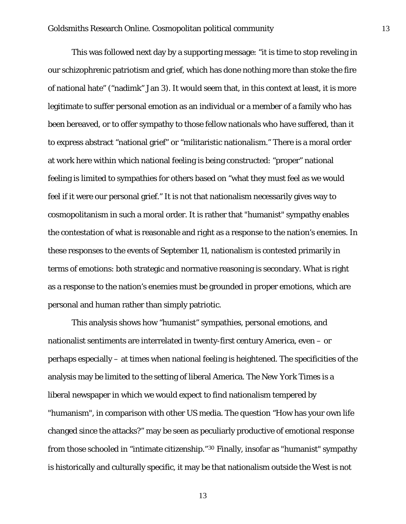This was followed next day by a supporting message: "it is time to stop reveling in our schizophrenic patriotism and grief, which has done nothing more than stoke the fire of national hate" ("nadimk" Jan 3). It would seem that, in this context at least, it is more legitimate to suffer personal emotion as an individual or a member of a family who has been bereaved, or to offer sympathy to those fellow nationals who have suffered, than it to express abstract "national grief" or "militaristic nationalism." There is a moral order at work here within which national feeling is being constructed: "proper" national feeling is limited to sympathies for others based on "what they must feel as we would feel if it were our personal grief." It is not that nationalism necessarily gives way to cosmopolitanism in such a moral order. It is rather that "humanist" sympathy enables the contestation of what is reasonable and right as a response to the nation's enemies. In these responses to the events of September 11, nationalism is contested primarily in terms of emotions: both strategic and normative reasoning is secondary. What is right as a response to the nation's enemies must be grounded in proper emotions, which are personal and human rather than simply patriotic.

This analysis shows how "humanist" sympathies, personal emotions, and nationalist sentiments are interrelated in twenty-first century America, even – or perhaps especially – at times when national feeling is heightened. The specificities of the analysis may be limited to the setting of liberal America. *The New York Times* is a liberal newspaper in which we would expect to find nationalism tempered by "humanism", in comparison with other US media. The question "How has your own life changed since the attacks?" may be seen as peculiarly productive of emotional response from those schooled in "intimate citizenship."[30](#page-18-0) Finally, insofar as "humanist" sympathy is historically and culturally specific, it may be that nationalism outside the West is not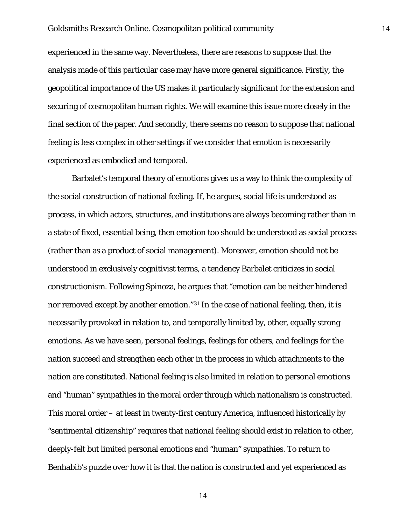experienced in the same way. Nevertheless, there are reasons to suppose that the analysis made of this particular case may have more general significance. Firstly, the geopolitical importance of the US makes it particularly significant for the extension and securing of cosmopolitan human rights. We will examine this issue more closely in the final section of the paper. And secondly, there seems no reason to suppose that national feeling is less complex in other settings if we consider that emotion is necessarily experienced as embodied and temporal.

Barbalet's temporal theory of emotions gives us a way to think the complexity of the social construction of national feeling. If, he argues, social life is understood as process, in which actors, structures, and institutions are always becoming rather than in a state of fixed, essential being, then emotion too should be understood as social process (rather than as a product of social management). Moreover, emotion should not be understood in exclusively cognitivist terms, a tendency Barbalet criticizes in social constructionism. Following Spinoza, he argues that "emotion can be neither hindered nor removed except by another emotion."[31](#page-18-0) In the case of national feeling, then, it is necessarily provoked in relation to, and temporally limited by, other, equally strong emotions. As we have seen, personal feelings, feelings for others, and feelings for the nation succeed and strengthen each other in the process in which attachments to the nation are constituted. National feeling is also limited in relation to personal emotions and "human" sympathies in the moral order through which nationalism is constructed. This moral order – at least in twenty-first century America, influenced historically by "sentimental citizenship" requires that national feeling *should* exist in relation to other, deeply-felt but limited personal emotions and "human" sympathies. To return to Benhabib's puzzle over how it is that the nation is constructed and yet experienced as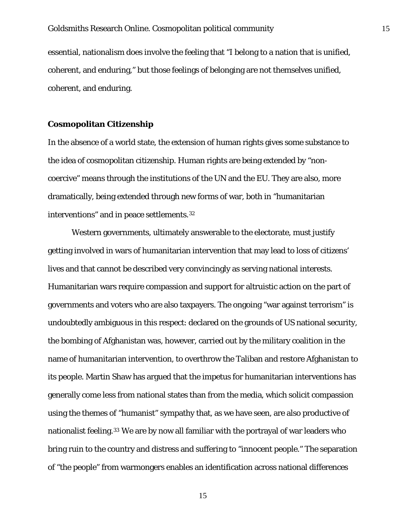essential, nationalism does involve the feeling that "I belong to a nation that is unified, coherent, and enduring," but those feelings of belonging are not themselves unified, coherent, and enduring.

# **Cosmopolitan Citizenship**

In the absence of a world state, the extension of human rights gives some substance to the idea of cosmopolitan citizenship. Human rights are being extended by "noncoercive" means through the institutions of the UN and the EU. They are also, more dramatically, being extended through new forms of war, both in "humanitarian interventions" and in peace settlements.[32](#page-18-0)

 Western governments, ultimately answerable to the electorate, must justify getting involved in wars of humanitarian intervention that may lead to loss of citizens' lives and that cannot be described very convincingly as serving national interests. Humanitarian wars require compassion and support for altruistic action on the part of governments and voters who are also taxpayers. The ongoing "war against terrorism" is undoubtedly ambiguous in this respect: declared on the grounds of US national security, the bombing of Afghanistan was, however, carried out by the military coalition in the name of humanitarian intervention, to overthrow the Taliban and restore Afghanistan to its people. Martin Shaw has argued that the impetus for humanitarian interventions has generally come less from national states than from the media, which solicit compassion using the themes of "humanist" sympathy that, as we have seen, are also productive of nationalist feeling.[33](#page-18-0) We are by now all familiar with the portrayal of war leaders who bring ruin to the country and distress and suffering to "innocent people." The separation of "the people" from warmongers enables an identification across national differences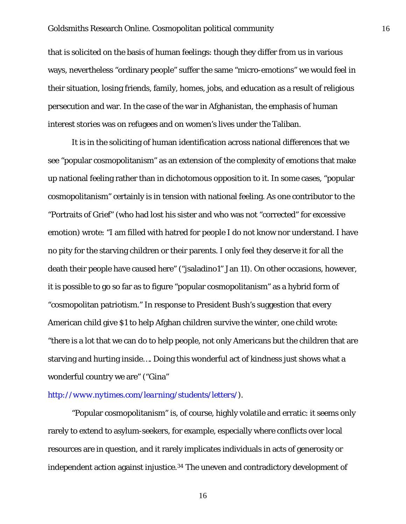that is solicited on the basis of human feelings: though they differ from us in various ways, nevertheless "ordinary people" suffer the same "micro-emotions" we would feel in their situation, losing friends, family, homes, jobs, and education as a result of religious persecution and war. In the case of the war in Afghanistan, the emphasis of human interest stories was on refugees and on women's lives under the Taliban.

It is in the soliciting of human identification across national differences that we see "popular cosmopolitanism" as an extension of the complexity of emotions that make up national feeling rather than in dichotomous opposition to it. In some cases, "popular cosmopolitanism" certainly is in tension with national feeling. As one contributor to the "Portraits of Grief" (who had lost his sister and who was not "corrected" for excessive emotion) wrote: "I am filled with hatred for people I do not know nor understand. I have no pity for the starving children or their parents. I only feel they deserve it for all the death their people have caused here" ("jsaladino1" Jan 11). On other occasions, however, it is possible to go so far as to figure "popular cosmopolitanism" as a hybrid form of "cosmopolitan patriotism." In response to President Bush's suggestion that every American child give \$1 to help Afghan children survive the winter, one child wrote: "there is a lot that we can do to help people, not only Americans but the children that are starving and hurting inside…. Doing this wonderful act of kindness just shows what a wonderful country we are" ("Gina"

## *<http://www.nytimes.com/learning/students/letters/>*).

"Popular cosmopolitanism" is, of course, highly volatile and erratic: it seems only rarely to extend to asylum-seekers, for example, especially where conflicts over local resources are in question, and it rarely implicates individuals in acts of generosity or independent action against injustice.<sup>[34](#page-18-0)</sup> The uneven and contradictory development of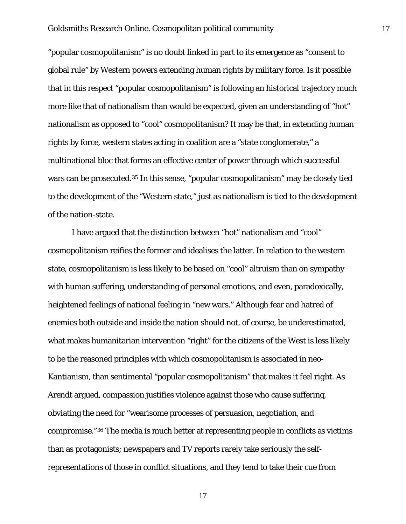"popular cosmopolitanism" is no doubt linked in part to its emergence as "consent to global rule" by Western powers extending human rights by military force. Is it possible that in this respect "popular cosmopolitanism" is following an historical trajectory much more like that of nationalism than would be expected, given an understanding of "hot" nationalism as opposed to "cool" cosmopolitanism? It may be that, in extending human rights by force, western states acting in coalition are a "state conglomerate," a multinational bloc that forms an effective center of power through which successful wars can be prosecuted.[35](#page-18-0) In this sense, "popular cosmopolitanism" may be closely tied to the development of the "Western state," just as nationalism is tied to the development of the nation-state.

I have argued that the distinction between "hot" nationalism and "cool" cosmopolitanism reifies the former and idealises the latter. In relation to the western state, cosmopolitanism is less likely to be based on "cool" altruism than on sympathy with human suffering, understanding of personal emotions, and even, paradoxically, heightened feelings of national feeling in "new wars." Although fear and hatred of enemies both outside and inside the nation should not, of course, be underestimated, what makes humanitarian intervention "right" for the citizens of the West is less likely to be the reasoned principles with which cosmopolitanism is associated in neo-Kantianism, than sentimental "popular cosmopolitanism" that makes it *feel right*. As Arendt argued, compassion justifies violence against those who cause suffering, obviating the need for "wearisome processes of persuasion, negotiation, and compromise."[36](#page-18-0) The media is much better at representing people in conflicts as victims than as protagonists; newspapers and TV reports rarely take seriously the selfrepresentations of those in conflict situations, and they tend to take their cue from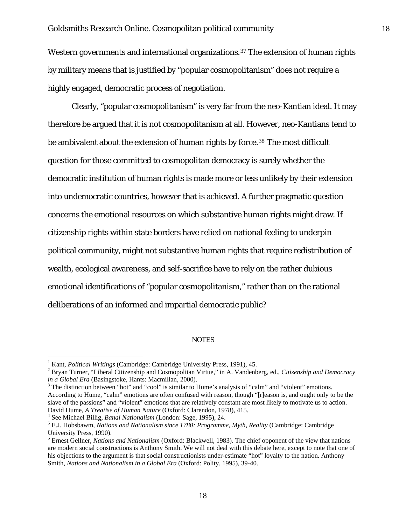<span id="page-17-1"></span>Western governments and international organizations.<sup>[37](#page-18-0)</sup> The extension of human rights by military means that is justified by "popular cosmopolitanism" does not require a highly engaged, democratic process of negotiation.

Clearly, "popular cosmopolitanism" is very far from the neo-Kantian ideal. It may therefore be argued that it is not cosmopolitanism at all. However, neo-Kantians tend to be ambivalent about the extension of human rights by force.<sup>[38](#page-18-1)</sup> The most difficult question for those committed to cosmopolitan democracy is surely whether the democratic institution of human rights is made more or less unlikely by their extension into undemocratic countries, however that is achieved. A further pragmatic question concerns the emotional resources on which substantive human rights might draw. If citizenship rights within state borders have relied on national feeling to underpin political community, might not substantive human rights that require redistribution of wealth, ecological awareness, and self-sacrifice have to rely on the rather dubious emotional identifications of "popular cosmopolitanism," rather than on the rational deliberations of an informed and impartial democratic public?

#### **NOTES**

 $\overline{a}$ 

<sup>&</sup>lt;sup>1</sup> Kant, *Political Writings* (Cambridge: Cambridge University Press, 1991), 45.<br><sup>2</sup> Pruen Turner, "Liberal Citizenship and Cosmonalitan Virtue," in A. Vandanh

<span id="page-17-0"></span>Bryan Turner, "Liberal Citizenship and Cosmopolitan Virtue," in A. Vandenberg, ed., *Citizenship and Democracy in a Global Era* (Basingstoke, Hants: Macmillan, 2000).

<sup>&</sup>lt;sup>3</sup> The distinction between "hot" and "cool" is similar to Hume's analysis of "calm" and "violent" emotions. According to Hume, "calm" emotions are often confused with reason, though "[r]eason is, and ought only to be the slave of the passions" and "violent" emotions that are relatively constant are most likely to motivate us to action. David Hume, *A Treatise of Human Nature* (Oxford: Clarendon, 1978), 415.

<sup>&</sup>lt;sup>4</sup> See Michael Billig, *Banal Nationalism* (London: Sage, 1995), 24.

E.J. Hobsbawm, *Nations and Nationalism since 1780: Programme, Myth, Reality* (Cambridge: Cambridge University Press, 1990).

<sup>6</sup> Ernest Gellner, *Nations and Nationalism* (Oxford: Blackwell, 1983). The chief opponent of the view that nations are modern social constructions is Anthony Smith. We will not deal with this debate here, except to note that one of his objections to the argument is that social constructionists under-estimate "hot" loyalty to the nation. Anthony Smith, *Nations and Nationalism in a Global Era* (Oxford: Polity, 1995), 39-40.